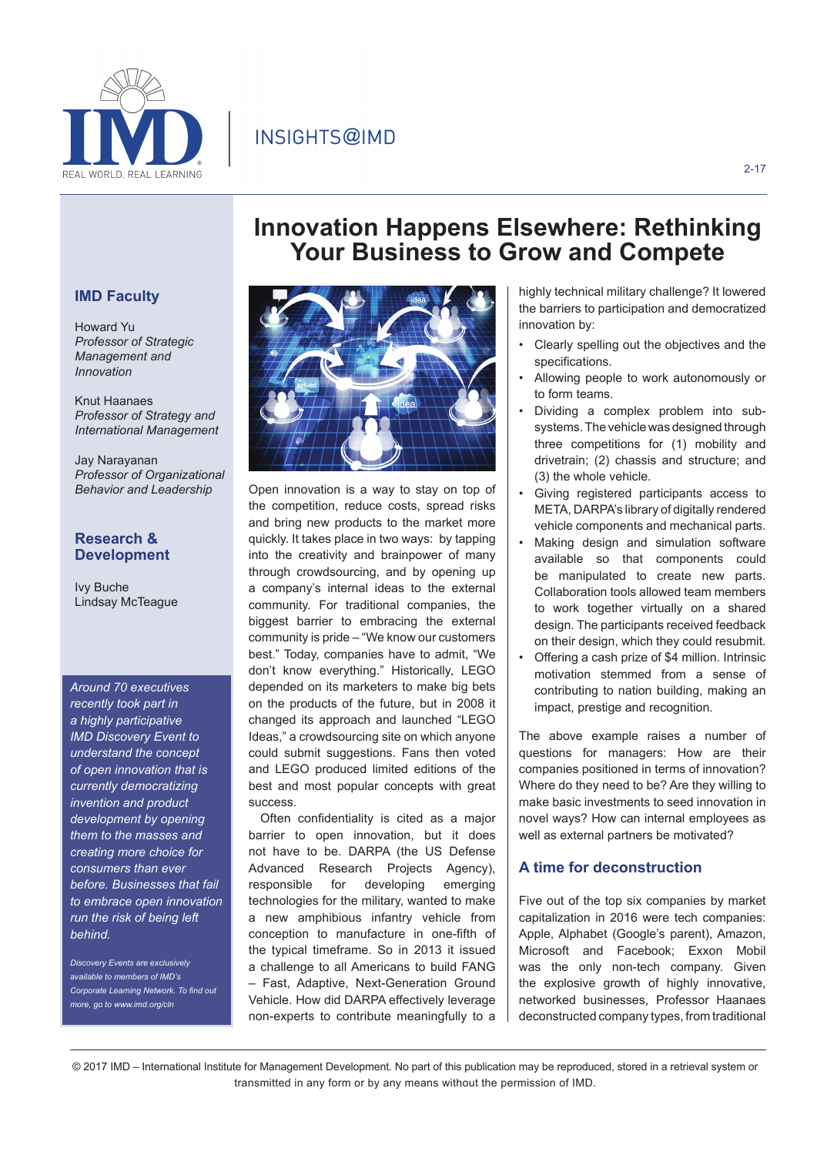INSIGHTS@IMD



#### 2-17

# **IMD Faculty**

Howard Yu *Professor of Strategic Management and Innovation*

Knut Haanaes *Professor of Strategy and International Management*

Jay Narayanan *Professor of Organizational Behavior and Leadership*

## **Research & Development**

Ivy Buche Lindsay McTeague

*Around 70 executives recently took part in a highly participative IMD Discovery Event to understand the concept of open innovation that is currently democratizing invention and product development by opening them to the masses and creating more choice for consumers than ever before. Businesses that fail to embrace open innovation run the risk of being left behind.* 

*Discovery Events are exclusively available to members of IMD's Corporate Learning Network. To find out more, go to www.imd.org/cln*



Open innovation is a way to stay on top of the competition, reduce costs, spread risks and bring new products to the market more quickly. It takes place in two ways: by tapping into the creativity and brainpower of many through crowdsourcing, and by opening up a company's internal ideas to the external community. For traditional companies, the biggest barrier to embracing the external community is pride – "We know our customers best." Today, companies have to admit, "We don't know everything." Historically, LEGO depended on its marketers to make big bets on the products of the future, but in 2008 it changed its approach and launched "LEGO Ideas," a crowdsourcing site on which anyone could submit suggestions. Fans then voted and LEGO produced limited editions of the best and most popular concepts with great success.

Often confidentiality is cited as a major barrier to open innovation, but it does not have to be. DARPA (the US Defense Advanced Research Projects Agency), responsible for developing emerging technologies for the military, wanted to make a new amphibious infantry vehicle from conception to manufacture in one-fifth of the typical timeframe. So in 2013 it issued a challenge to all Americans to build FANG – Fast, Adaptive, Next-Generation Ground Vehicle. How did DARPA effectively leverage non-experts to contribute meaningfully to a

highly technical military challenge? It lowered the barriers to participation and democratized innovation by:

**Innovation Happens Elsewhere: Rethinking Your Business to Grow and Compete**

- Clearly spelling out the objectives and the specifications.
- Allowing people to work autonomously or to form teams.
- Dividing a complex problem into subsystems. The vehicle was designed through three competitions for (1) mobility and drivetrain; (2) chassis and structure; and (3) the whole vehicle.
- Giving registered participants access to META, DARPA's library of digitally rendered vehicle components and mechanical parts.
- Making design and simulation software available so that components could be manipulated to create new parts. Collaboration tools allowed team members to work together virtually on a shared design. The participants received feedback on their design, which they could resubmit.
- Offering a cash prize of \$4 million. Intrinsic motivation stemmed from a sense of contributing to nation building, making an impact, prestige and recognition.

The above example raises a number of questions for managers: How are their companies positioned in terms of innovation? Where do they need to be? Are they willing to make basic investments to seed innovation in novel ways? How can internal employees as well as external partners be motivated?

### **A time for deconstruction**

Five out of the top six companies by market capitalization in 2016 were tech companies: Apple, Alphabet (Google's parent), Amazon, Microsoft and Facebook; Exxon Mobil was the only non-tech company. Given the explosive growth of highly innovative, networked businesses, Professor Haanaes deconstructed company types, from traditional

© 2017 IMD – International Institute for Management Development. No part of this publication may be reproduced, stored in a retrieval system or transmitted in any form or by any means without the permission of IMD.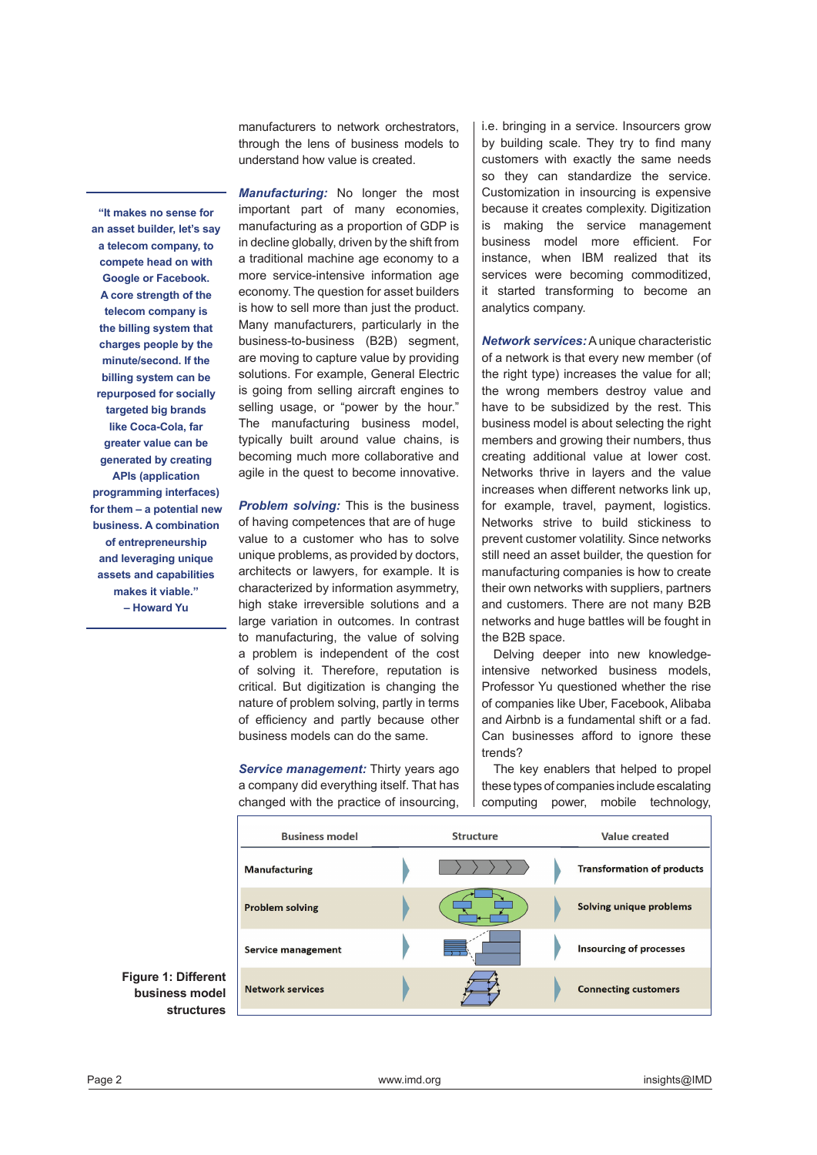manufacturers to network orchestrators, through the lens of business models to understand how value is created.

*Manufacturing:* No longer the most important part of many economies, manufacturing as a proportion of GDP is in decline globally, driven by the shift from a traditional machine age economy to a more service-intensive information age economy. The question for asset builders is how to sell more than just the product. Many manufacturers, particularly in the business-to-business (B2B) segment, are moving to capture value by providing solutions. For example, General Electric is going from selling aircraft engines to selling usage, or "power by the hour." The manufacturing business model, typically built around value chains, is becoming much more collaborative and agile in the quest to become innovative.

*Problem solving:* This is the business of having competences that are of huge value to a customer who has to solve unique problems, as provided by doctors, architects or lawyers, for example. It is characterized by information asymmetry, high stake irreversible solutions and a large variation in outcomes. In contrast to manufacturing, the value of solving a problem is independent of the cost of solving it. Therefore, reputation is critical. But digitization is changing the nature of problem solving, partly in terms of efficiency and partly because other business models can do the same.

*Service management:* Thirty years ago a company did everything itself. That has changed with the practice of insourcing,

i.e. bringing in a service. Insourcers grow by building scale. They try to find many customers with exactly the same needs so they can standardize the service. Customization in insourcing is expensive because it creates complexity. Digitization is making the service management business model more efficient. For instance, when IBM realized that its services were becoming commoditized, it started transforming to become an analytics company.

*Network services:* A unique characteristic of a network is that every new member (of the right type) increases the value for all; the wrong members destroy value and have to be subsidized by the rest. This business model is about selecting the right members and growing their numbers, thus creating additional value at lower cost. Networks thrive in layers and the value increases when different networks link up, for example, travel, payment, logistics. Networks strive to build stickiness to prevent customer volatility. Since networks still need an asset builder, the question for manufacturing companies is how to create their own networks with suppliers, partners and customers. There are not many B2B networks and huge battles will be fought in the B2B space.

Delving deeper into new knowledgeintensive networked business models, Professor Yu questioned whether the rise of companies like Uber, Facebook, Alibaba and Airbnb is a fundamental shift or a fad. Can businesses afford to ignore these trends?

The key enablers that helped to propel these types of companies include escalating computing power, mobile technology,

| <b>Structure</b> | Value created                     |
|------------------|-----------------------------------|
|                  | <b>Transformation of products</b> |
|                  | Solving unique problems           |
|                  | <b>Insourcing of processes</b>    |
|                  | <b>Connecting customers</b>       |
|                  |                                   |

**an asset builder, let's say a telecom company, to compete head on with Google or Facebook. A core strength of the telecom company is the billing system that charges people by the minute/second. If the billing system can be repurposed for socially targeted big brands like Coca-Cola, far greater value can be generated by creating APIs (application programming interfaces) for them – a potential new business. A combination of entrepreneurship and leveraging unique assets and capabilities makes it viable." – Howard Yu**

**"It makes no sense for** 

**Figure 1: Different business model structures**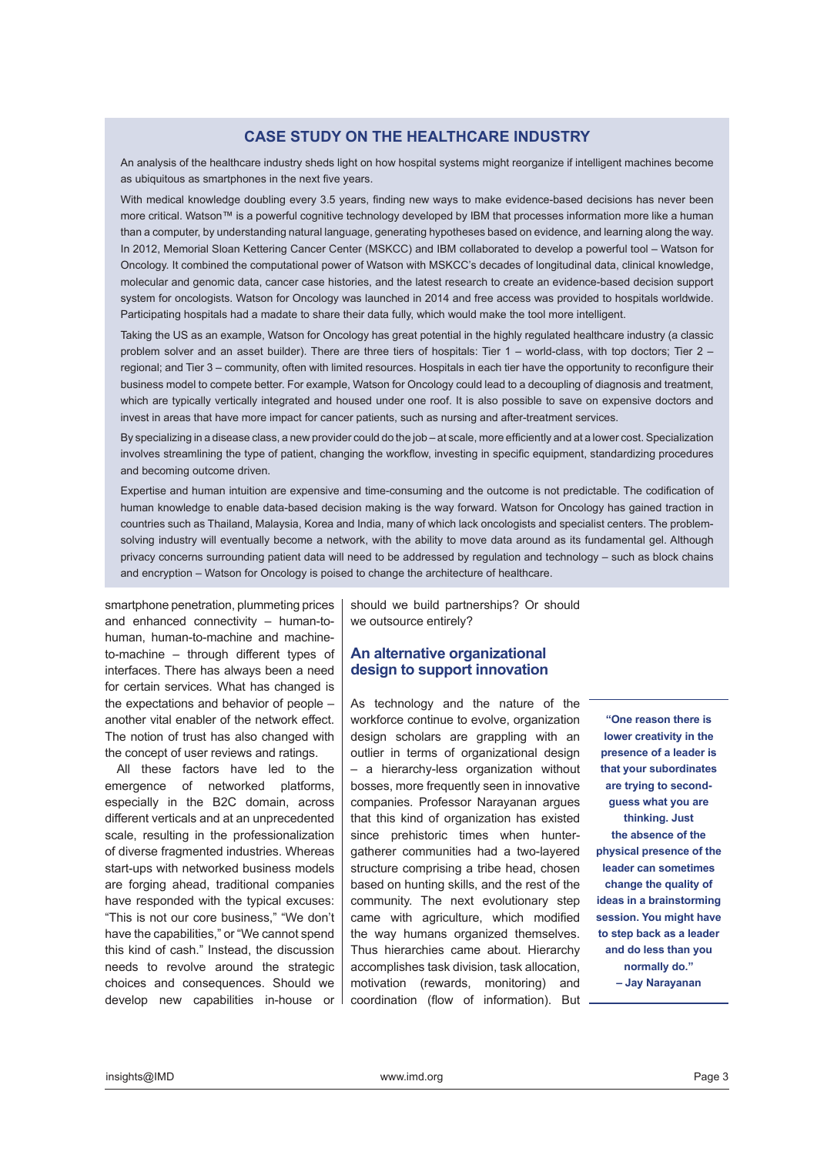# **CASE STUDY ON THE HEALTHCARE INDUSTRY**

An analysis of the healthcare industry sheds light on how hospital systems might reorganize if intelligent machines become as ubiquitous as smartphones in the next five years.

With medical knowledge doubling every 3.5 years, finding new ways to make evidence-based decisions has never been more critical. Watson™ is a powerful cognitive technology developed by IBM that processes information more like a human than a computer, by understanding natural language, generating hypotheses based on evidence, and learning along the way. In 2012, Memorial Sloan Kettering Cancer Center (MSKCC) and IBM collaborated to develop a powerful tool – Watson for Oncology. It combined the computational power of Watson with MSKCC's decades of longitudinal data, clinical knowledge, molecular and genomic data, cancer case histories, and the latest research to create an evidence-based decision support system for oncologists. Watson for Oncology was launched in 2014 and free access was provided to hospitals worldwide. Participating hospitals had a madate to share their data fully, which would make the tool more intelligent.

Taking the US as an example, Watson for Oncology has great potential in the highly regulated healthcare industry (a classic problem solver and an asset builder). There are three tiers of hospitals: Tier 1 – world-class, with top doctors; Tier 2 – regional; and Tier 3 – community, often with limited resources. Hospitals in each tier have the opportunity to reconfigure their business model to compete better. For example, Watson for Oncology could lead to a decoupling of diagnosis and treatment, which are typically vertically integrated and housed under one roof. It is also possible to save on expensive doctors and invest in areas that have more impact for cancer patients, such as nursing and after-treatment services.

By specializing in a disease class, a new provider could do the job – at scale, more efficiently and at a lower cost. Specialization involves streamlining the type of patient, changing the workflow, investing in specific equipment, standardizing procedures and becoming outcome driven.

Expertise and human intuition are expensive and time-consuming and the outcome is not predictable. The codification of human knowledge to enable data-based decision making is the way forward. Watson for Oncology has gained traction in countries such as Thailand, Malaysia, Korea and India, many of which lack oncologists and specialist centers. The problemsolving industry will eventually become a network, with the ability to move data around as its fundamental gel. Although privacy concerns surrounding patient data will need to be addressed by regulation and technology – such as block chains and encryption – Watson for Oncology is poised to change the architecture of healthcare.

smartphone penetration, plummeting prices and enhanced connectivity – human-tohuman, human-to-machine and machineto-machine – through different types of interfaces. There has always been a need for certain services. What has changed is the expectations and behavior of people – another vital enabler of the network effect. The notion of trust has also changed with the concept of user reviews and ratings.

All these factors have led to the emergence of networked platforms, especially in the B2C domain, across different verticals and at an unprecedented scale, resulting in the professionalization of diverse fragmented industries. Whereas start-ups with networked business models are forging ahead, traditional companies have responded with the typical excuses: "This is not our core business," "We don't have the capabilities," or "We cannot spend this kind of cash." Instead, the discussion needs to revolve around the strategic choices and consequences. Should we develop new capabilities in-house or

should we build partnerships? Or should we outsource entirely?

### **An alternative organizational design to support innovation**

As technology and the nature of the workforce continue to evolve, organization design scholars are grappling with an outlier in terms of organizational design – a hierarchy-less organization without bosses, more frequently seen in innovative companies. Professor Narayanan argues that this kind of organization has existed since prehistoric times when huntergatherer communities had a two-layered structure comprising a tribe head, chosen based on hunting skills, and the rest of the community. The next evolutionary step came with agriculture, which modified the way humans organized themselves. Thus hierarchies came about. Hierarchy accomplishes task division, task allocation, motivation (rewards, monitoring) and coordination (flow of information). But

**"One reason there is lower creativity in the presence of a leader is that your subordinates are trying to secondguess what you are thinking. Just the absence of the physical presence of the leader can sometimes change the quality of ideas in a brainstorming session. You might have to step back as a leader and do less than you normally do." – Jay Narayanan**